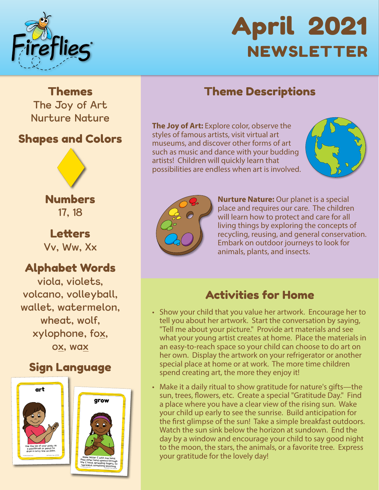

# April 2021 NEWSLETTER

### Theme Descriptions

**The Joy of Art:** Explore color, observe the styles of famous artists, visit virtual art museums, and discover other forms of art such as music and dance with your budding artists! Children will quickly learn that possibilities are endless when art is involved.





**Nurture Nature:** Our planet is a special place and requires our care. The children will learn how to protect and care for all living things by exploring the concepts of recycling, reusing, and general conservation. Embark on outdoor journeys to look for animals, plants, and insects.

### Activities for Home

- Show your child that you value her artwork. Encourage her to tell you about her artwork. Start the conversation by saying, "Tell me about your picture." Provide art materials and see what your young artist creates at home. Place the materials in an easy-to-reach space so your child can choose to do art on her own. Display the artwork on your refrigerator or another special place at home or at work. The more time children spend creating art, the more they enjoy it!
- Make it a daily ritual to show gratitude for nature's gifts—the sun, trees, flowers, etc. Create a special "Gratitude Day." Find a place where you have a clear view of the rising sun. Wake your child up early to see the sunrise. Build anticipation for the first glimpse of the sun! Take a simple breakfast outdoors. Watch the sun sink below the horizon at sundown. End the day by a window and encourage your child to say good night to the moon, the stars, the animals, or a favorite tree. Express your gratitude for the lovely day!

Themes The Joy of Art Nurture Nature

### Shapes and Colors



Numbers 17, 18

**Letters** Vv, Ww, Xx

### Alphabet Words

viola, violets, volcano, volleyball, wallet, watermelon, wheat, wolf, xylophone, fox, ox, wax

### Sign Language